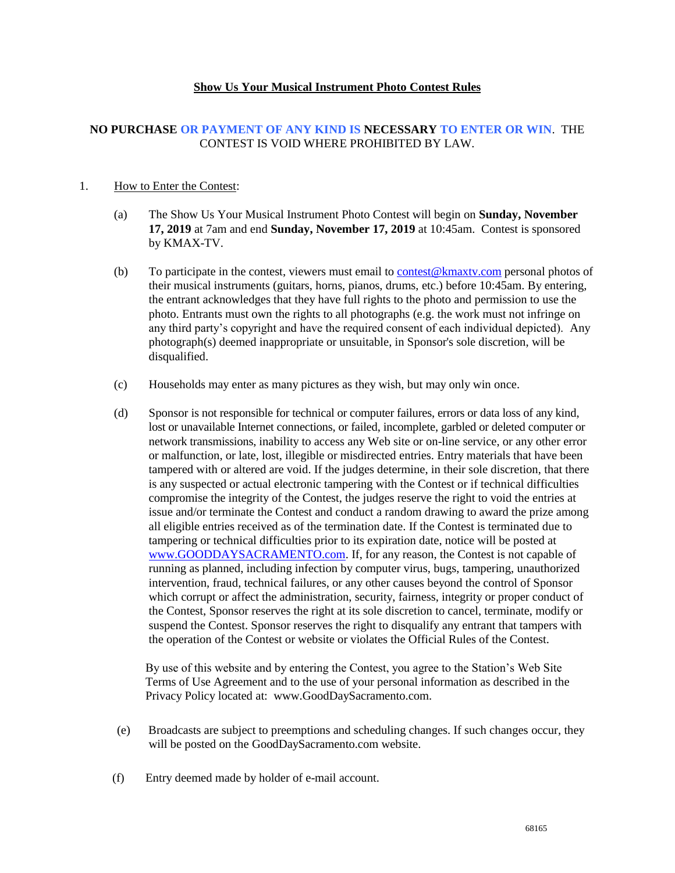## **Show Us Your Musical Instrument Photo Contest Rules**

## **NO PURCHASE OR PAYMENT OF ANY KIND IS NECESSARY TO ENTER OR WIN**. THE CONTEST IS VOID WHERE PROHIBITED BY LAW.

## 1. How to Enter the Contest:

- (a) The Show Us Your Musical Instrument Photo Contest will begin on **Sunday, November 17, 2019** at 7am and end **Sunday, November 17, 2019** at 10:45am. Contest is sponsored by KMAX-TV.
- (b) To participate in the contest, viewers must email to [contest@kmaxtv.com](mailto:contest@kmaxtv.com) personal photos of their musical instruments (guitars, horns, pianos, drums, etc.) before 10:45am. By entering, the entrant acknowledges that they have full rights to the photo and permission to use the photo. Entrants must own the rights to all photographs (e.g. the work must not infringe on any third party's copyright and have the required consent of each individual depicted). Any photograph(s) deemed inappropriate or unsuitable, in Sponsor's sole discretion, will be disqualified.
- (c) Households may enter as many pictures as they wish, but may only win once.
- (d) Sponsor is not responsible for technical or computer failures, errors or data loss of any kind, lost or unavailable Internet connections, or failed, incomplete, garbled or deleted computer or network transmissions, inability to access any Web site or on-line service, or any other error or malfunction, or late, lost, illegible or misdirected entries. Entry materials that have been tampered with or altered are void. If the judges determine, in their sole discretion, that there is any suspected or actual electronic tampering with the Contest or if technical difficulties compromise the integrity of the Contest, the judges reserve the right to void the entries at issue and/or terminate the Contest and conduct a random drawing to award the prize among all eligible entries received as of the termination date. If the Contest is terminated due to tampering or technical difficulties prior to its expiration date, notice will be posted at [www.GOODDAYSACRAMENTO.com.](http://www.gooddaysacramento.com/) If, for any reason, the Contest is not capable of running as planned, including infection by computer virus, bugs, tampering, unauthorized intervention, fraud, technical failures, or any other causes beyond the control of Sponsor which corrupt or affect the administration, security, fairness, integrity or proper conduct of the Contest, Sponsor reserves the right at its sole discretion to cancel, terminate, modify or suspend the Contest. Sponsor reserves the right to disqualify any entrant that tampers with the operation of the Contest or website or violates the Official Rules of the Contest.

By use of this website and by entering the Contest, you agree to the Station's Web Site Terms of Use Agreement and to the use of your personal information as described in the Privacy Policy located at: www.GoodDaySacramento.com.

- (e) Broadcasts are subject to preemptions and scheduling changes. If such changes occur, they will be posted on the GoodDaySacramento.com website.
- (f) Entry deemed made by holder of e-mail account.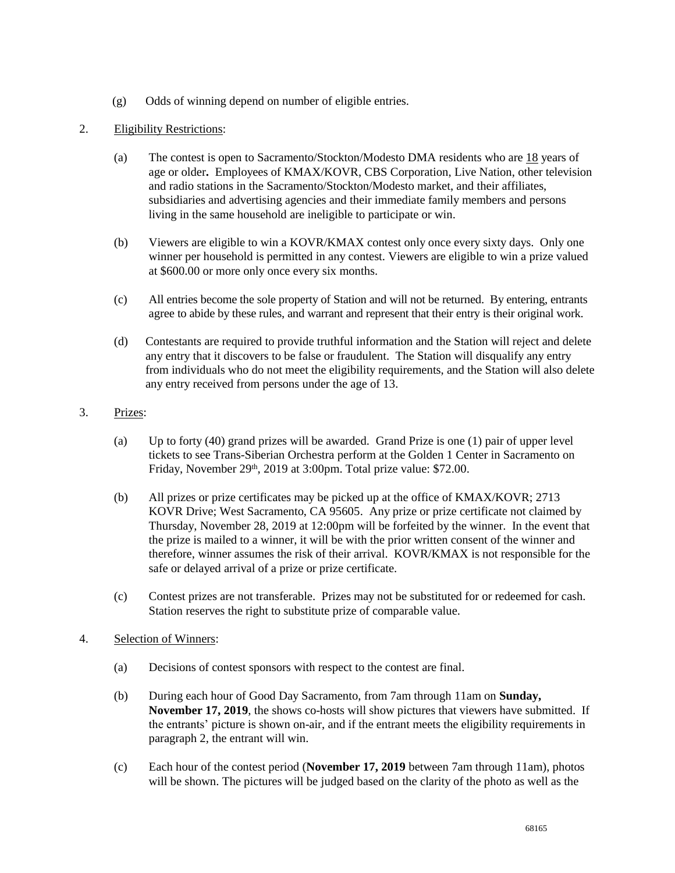- (g) Odds of winning depend on number of eligible entries.
- 2. Eligibility Restrictions:
	- (a) The contest is open to Sacramento/Stockton/Modesto DMA residents who are  $18$  years of age or older**.** Employees of KMAX/KOVR, CBS Corporation, Live Nation, other television and radio stations in the Sacramento/Stockton/Modesto market, and their affiliates, subsidiaries and advertising agencies and their immediate family members and persons living in the same household are ineligible to participate or win.
	- (b) Viewers are eligible to win a KOVR/KMAX contest only once every sixty days. Only one winner per household is permitted in any contest. Viewers are eligible to win a prize valued at \$600.00 or more only once every six months.
	- (c) All entries become the sole property of Station and will not be returned. By entering, entrants agree to abide by these rules, and warrant and represent that their entry is their original work.
	- (d) Contestants are required to provide truthful information and the Station will reject and delete any entry that it discovers to be false or fraudulent. The Station will disqualify any entry from individuals who do not meet the eligibility requirements, and the Station will also delete any entry received from persons under the age of 13.
- 3. Prizes:
	- (a) Up to forty (40) grand prizes will be awarded. Grand Prize is one (1) pair of upper level tickets to see Trans-Siberian Orchestra perform at the Golden 1 Center in Sacramento on Friday, November 29<sup>th</sup>, 2019 at 3:00pm. Total prize value: \$72.00.
	- (b) All prizes or prize certificates may be picked up at the office of KMAX/KOVR; 2713 KOVR Drive; West Sacramento, CA 95605. Any prize or prize certificate not claimed by Thursday, November 28, 2019 at 12:00pm will be forfeited by the winner. In the event that the prize is mailed to a winner, it will be with the prior written consent of the winner and therefore, winner assumes the risk of their arrival. KOVR/KMAX is not responsible for the safe or delayed arrival of a prize or prize certificate.
	- (c) Contest prizes are not transferable. Prizes may not be substituted for or redeemed for cash. Station reserves the right to substitute prize of comparable value.
- 4. Selection of Winners:
	- (a) Decisions of contest sponsors with respect to the contest are final.
	- (b) During each hour of Good Day Sacramento, from 7am through 11am on **Sunday, November 17, 2019**, the shows co-hosts will show pictures that viewers have submitted. If the entrants' picture is shown on-air, and if the entrant meets the eligibility requirements in paragraph 2, the entrant will win.
	- (c) Each hour of the contest period (**November 17, 2019** between 7am through 11am), photos will be shown. The pictures will be judged based on the clarity of the photo as well as the